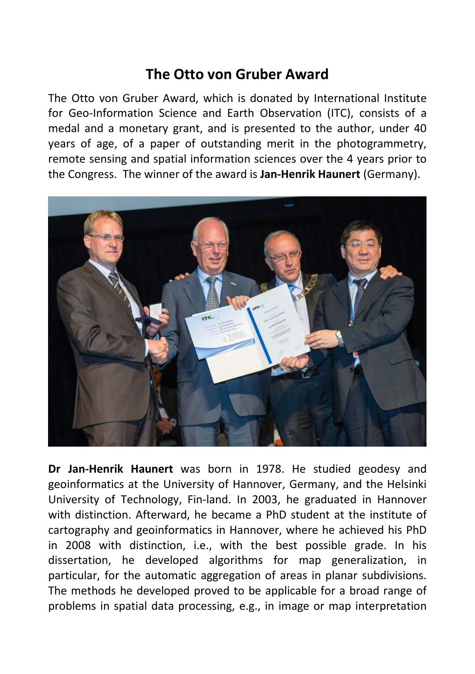## **The Otto von Gruber Award**

The Otto von Gruber Award, which is donated by International Institute for Geo-Information Science and Earth Observation (ITC), consists of a medal and a monetary grant, and is presented to the author, under 40 years of age, of a paper of outstanding merit in the photogrammetry, remote sensing and spatial information sciences over the 4 years prior to the Congress. The winner of the award is **Jan-Henrik Haunert** (Germany).



**Dr Jan-Henrik Haunert** was born in 1978. He studied geodesy and geoinformatics at the University of Hannover, Germany, and the Helsinki University of Technology, Fin-land. In 2003, he graduated in Hannover with distinction. Afterward, he became a PhD student at the institute of cartography and geoinformatics in Hannover, where he achieved his PhD in 2008 with distinction, i.e., with the best possible grade. In his dissertation, he developed algorithms for map generalization, in particular, for the automatic aggregation of areas in planar subdivisions. The methods he developed proved to be applicable for a broad range of problems in spatial data processing, e.g., in image or map interpretation